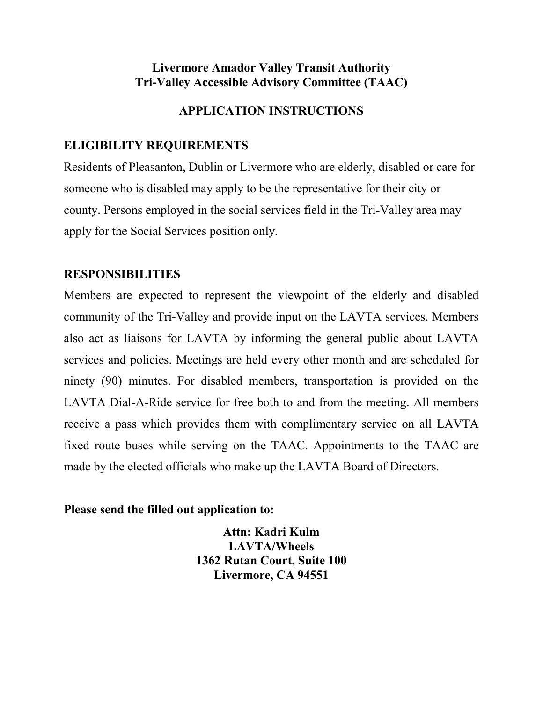# **Livermore Amador Valley Transit Authority Tri-Valley Accessible Advisory Committee (TAAC)**

# **APPLICATION INSTRUCTIONS**

# **ELIGIBILITY REQUIREMENTS**

Residents of Pleasanton, Dublin or Livermore who are elderly, disabled or care for someone who is disabled may apply to be the representative for their city or county. Persons employed in the social services field in the Tri-Valley area may apply for the Social Services position only.

# **RESPONSIBILITIES**

Members are expected to represent the viewpoint of the elderly and disabled community of the Tri-Valley and provide input on the LAVTA services. Members also act as liaisons for LAVTA by informing the general public about LAVTA services and policies. Meetings are held every other month and are scheduled for ninety (90) minutes. For disabled members, transportation is provided on the LAVTA Dial-A-Ride service for free both to and from the meeting. All members receive a pass which provides them with complimentary service on all LAVTA fixed route buses while serving on the TAAC. Appointments to the TAAC are made by the elected officials who make up the LAVTA Board of Directors.

#### **Please send the filled out application to:**

**Attn: Kadri Kulm LAVTA/Wheels 1362 Rutan Court, Suite 100 Livermore, CA 94551**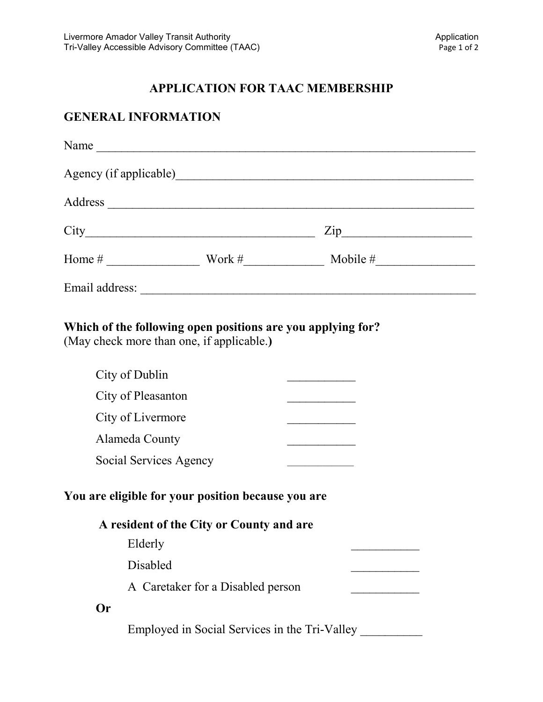### **APPLICATION FOR TAAC MEMBERSHIP**

### **GENERAL INFORMATION**

| Name                               |        |                                   |
|------------------------------------|--------|-----------------------------------|
| Agency (if applicable)             |        |                                   |
| Address                            |        |                                   |
| City                               |        | $\mathop{\mathrm {Zip}}\nolimits$ |
| Home #<br><u>a sa sala</u> sa sala | Work # | Mobile #                          |
| Email address:                     |        |                                   |

### **Which of the following open positions are you applying for?**

(May check more than one, if applicable.**)**

| City of Dublin                                                                                 |                                   |  |  |  |
|------------------------------------------------------------------------------------------------|-----------------------------------|--|--|--|
| City of Pleasanton                                                                             |                                   |  |  |  |
| City of Livermore                                                                              |                                   |  |  |  |
| Alameda County                                                                                 |                                   |  |  |  |
| Social Services Agency                                                                         |                                   |  |  |  |
| You are eligible for your position because you are<br>A resident of the City or County and are |                                   |  |  |  |
| Elderly                                                                                        |                                   |  |  |  |
| Disabled                                                                                       |                                   |  |  |  |
|                                                                                                | A Caretaker for a Disabled person |  |  |  |
| ( )r                                                                                           |                                   |  |  |  |
|                                                                                                |                                   |  |  |  |

Employed in Social Services in the Tri-Valley \_\_\_\_\_\_\_\_\_\_